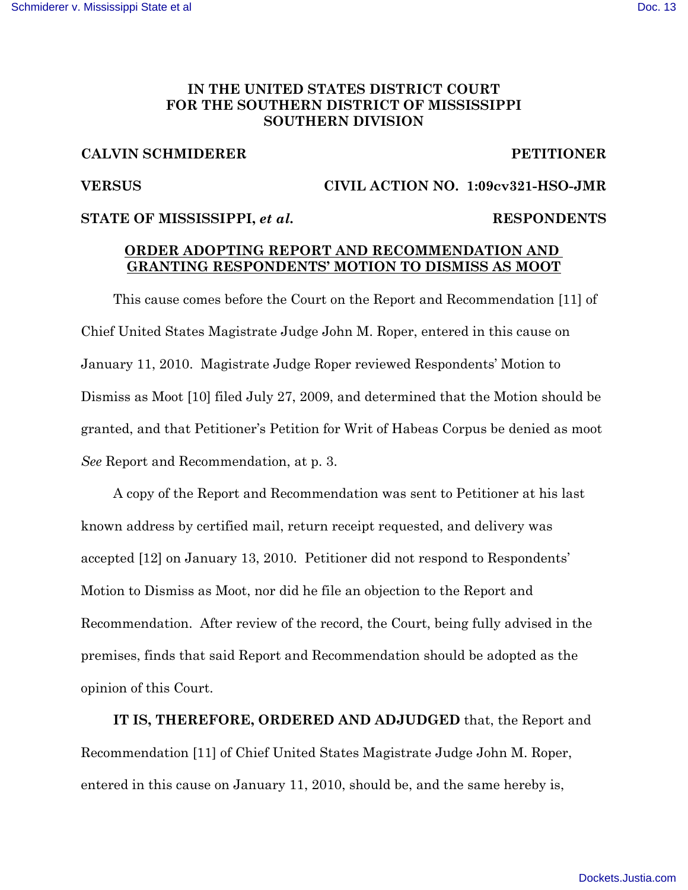## **IN THE UNITED STATES DISTRICT COURT FOR THE SOUTHERN DISTRICT OF MISSISSIPPI SOUTHERN DIVISION**

### **CALVIN SCHMIDERER PETITIONER**

### **VERSUS CIVIL ACTION NO. 1:09cv321-HSO-JMR**

### STATE OF MISSISSIPPI, *et al.* **RESPONDENTS**

# **ORDER ADOPTING REPORT AND RECOMMENDATION AND GRANTING RESPONDENTS' MOTION TO DISMISS AS MOOT**

This cause comes before the Court on the Report and Recommendation [11] of Chief United States Magistrate Judge John M. Roper, entered in this cause on January 11, 2010. Magistrate Judge Roper reviewed Respondents' Motion to Dismiss as Moot [10] filed July 27, 2009, and determined that the Motion should be granted, and that Petitioner's Petition for Writ of Habeas Corpus be denied as moot *See* Report and Recommendation, at p. 3.

A copy of the Report and Recommendation was sent to Petitioner at his last known address by certified mail, return receipt requested, and delivery was accepted [12] on January 13, 2010. Petitioner did not respond to Respondents' Motion to Dismiss as Moot, nor did he file an objection to the Report and Recommendation. After review of the record, the Court, being fully advised in the premises, finds that said Report and Recommendation should be adopted as the opinion of this Court.

**IT IS, THEREFORE, ORDERED AND ADJUDGED** that, the Report and Recommendation [11] of Chief United States Magistrate Judge John M. Roper, entered in this cause on January 11, 2010, should be, and the same hereby is,